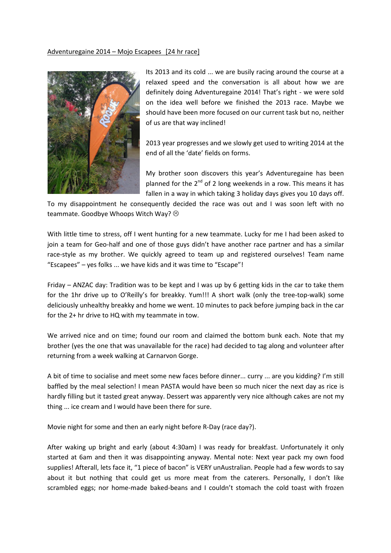## Adventuregaine 2014 – Mojo Escapees [24 hr race]



Its 2013 and its cold ... we are busily racing around the course at a relaxed speed and the conversation is all about how we are definitely doing Adventuregaine 2014! That's right - we were sold on the idea well before we finished the 2013 race. Maybe we should have been more focused on our current task but no, neither of us are that way inclined!

2013 year progresses and we slowly get used to writing 2014 at the end of all the 'date' fields on forms.

My brother soon discovers this year's Adventuregaine has been planned for the  $2<sup>nd</sup>$  of 2 long weekends in a row. This means it has fallen in a way in which taking 3 holiday days gives you 10 days off.

To my disappointment he consequently decided the race was out and I was soon left with no teammate. Goodbye Whoops Witch Way?

With little time to stress, off I went hunting for a new teammate. Lucky for me I had been asked to join a team for Geo-half and one of those guys didn't have another race partner and has a similar race-style as my brother. We quickly agreed to team up and registered ourselves! Team name "Escapees" – yes folks ... we have kids and it was time to "Escape"!

Friday – ANZAC day: Tradition was to be kept and I was up by 6 getting kids in the car to take them for the 1hr drive up to O'Reilly's for breakky. Yum!!! A short walk (only the tree-top-walk) some deliciously unhealthy breakky and home we went. 10 minutes to pack before jumping back in the car for the 2+ hr drive to HQ with my teammate in tow.

We arrived nice and on time; found our room and claimed the bottom bunk each. Note that my brother (yes the one that was unavailable for the race) had decided to tag along and volunteer after returning from a week walking at Carnarvon Gorge.

A bit of time to socialise and meet some new faces before dinner... curry ... are you kidding? I'm still baffled by the meal selection! I mean PASTA would have been so much nicer the next day as rice is hardly filling but it tasted great anyway. Dessert was apparently very nice although cakes are not my thing ... ice cream and I would have been there for sure.

Movie night for some and then an early night before R-Day (race day?).

After waking up bright and early (about 4:30am) I was ready for breakfast. Unfortunately it only started at 6am and then it was disappointing anyway. Mental note: Next year pack my own food supplies! Afterall, lets face it, "1 piece of bacon" is VERY unAustralian. People had a few words to say about it but nothing that could get us more meat from the caterers. Personally, I don't like scrambled eggs; nor home-made baked-beans and I couldn't stomach the cold toast with frozen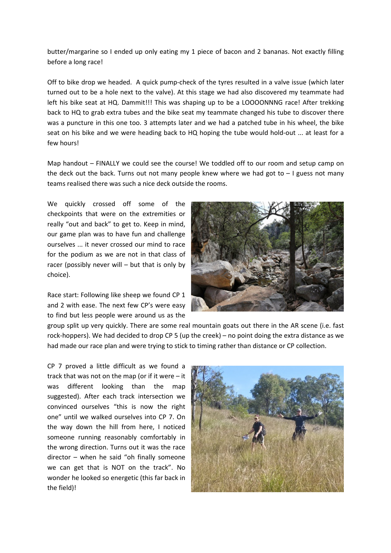butter/margarine so I ended up only eating my 1 piece of bacon and 2 bananas. Not exactly filling before a long race!

Off to bike drop we headed. A quick pump-check of the tyres resulted in a valve issue (which later turned out to be a hole next to the valve). At this stage we had also discovered my teammate had left his bike seat at HQ. Dammit!!! This was shaping up to be a LOOOONNNG race! After trekking back to HQ to grab extra tubes and the bike seat my teammate changed his tube to discover there was a puncture in this one too. 3 attempts later and we had a patched tube in his wheel, the bike seat on his bike and we were heading back to HQ hoping the tube would hold-out ... at least for a few hours!

Map handout – FINALLY we could see the course! We toddled off to our room and setup camp on the deck out the back. Turns out not many people knew where we had got to  $-1$  guess not many teams realised there was such a nice deck outside the rooms.

We quickly crossed off some of the checkpoints that were on the extremities or really "out and back" to get to. Keep in mind, our game plan was to have fun and challenge ourselves ... it never crossed our mind to race for the podium as we are not in that class of racer (possibly never will – but that is only by choice).

Race start: Following like sheep we found CP 1 and 2 with ease. The next few CP's were easy to find but less people were around us as the



group split up very quickly. There are some real mountain goats out there in the AR scene (i.e. fast rock-hoppers). We had decided to drop CP 5 (up the creek) – no point doing the extra distance as we had made our race plan and were trying to stick to timing rather than distance or CP collection.

CP 7 proved a little difficult as we found a track that was not on the map (or if it were  $-$  it was different looking than the map suggested). After each track intersection we convinced ourselves "this is now the right one" until we walked ourselves into CP 7. On the way down the hill from here, I noticed someone running reasonably comfortably in the wrong direction. Turns out it was the race director – when he said "oh finally someone we can get that is NOT on the track". No wonder he looked so energetic (this far back in the field)!

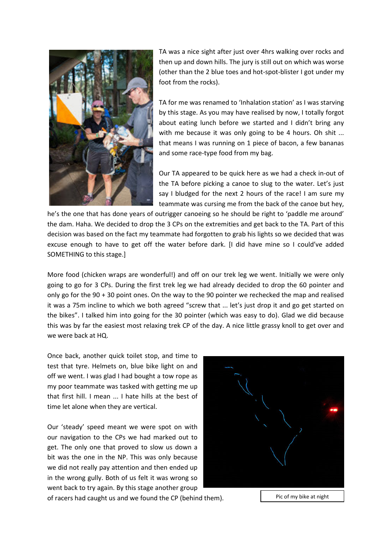

TA was a nice sight after just over 4hrs walking over rocks and then up and down hills. The jury is still out on which was worse (other than the 2 blue toes and hot-spot-blister I got under my foot from the rocks).

TA for me was renamed to 'Inhalation station' as I was starving by this stage. As you may have realised by now, I totally forgot about eating lunch before we started and I didn't bring any with me because it was only going to be 4 hours. Oh shit ... that means I was running on 1 piece of bacon, a few bananas and some race-type food from my bag.

Our TA appeared to be quick here as we had a check in-out of the TA before picking a canoe to slug to the water. Let's just say I bludged for the next 2 hours of the race! I am sure my teammate was cursing me from the back of the canoe but hey,

he's the one that has done years of outrigger canoeing so he should be right to 'paddle me around' the dam. Haha. We decided to drop the 3 CPs on the extremities and get back to the TA. Part of this decision was based on the fact my teammate had forgotten to grab his lights so we decided that was excuse enough to have to get off the water before dark. [I did have mine so I could've added SOMETHING to this stage.]

More food (chicken wraps are wonderful!) and off on our trek leg we went. Initially we were only going to go for 3 CPs. During the first trek leg we had already decided to drop the 60 pointer and only go for the 90 + 30 point ones. On the way to the 90 pointer we rechecked the map and realised it was a 75m incline to which we both agreed "screw that ... let's just drop it and go get started on the bikes". I talked him into going for the 30 pointer (which was easy to do). Glad we did because this was by far the easiest most relaxing trek CP of the day. A nice little grassy knoll to get over and we were back at HQ.

Once back, another quick toilet stop, and time to test that tyre. Helmets on, blue bike light on and off we went. I was glad I had bought a tow rope as my poor teammate was tasked with getting me up that first hill. I mean ... I hate hills at the best of time let alone when they are vertical.

Our 'steady' speed meant we were spot on with our navigation to the CPs we had marked out to get. The only one that proved to slow us down a bit was the one in the NP. This was only because we did not really pay attention and then ended up in the wrong gully. Both of us felt it was wrong so went back to try again. By this stage another group



of racers had caught us and we found the CP (behind them). Pic of my bike at night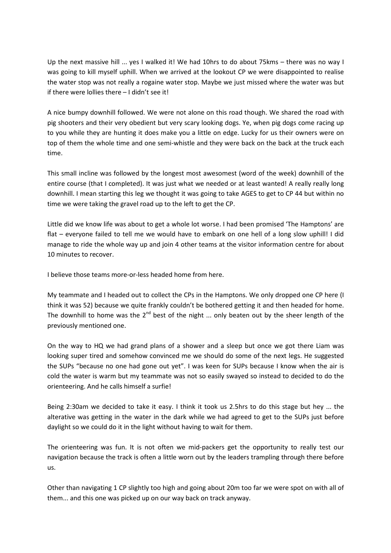Up the next massive hill ... yes I walked it! We had 10hrs to do about 75kms - there was no way I was going to kill myself uphill. When we arrived at the lookout CP we were disappointed to realise the water stop was not really a rogaine water stop. Maybe we just missed where the water was but if there were lollies there – I didn't see it!

A nice bumpy downhill followed. We were not alone on this road though. We shared the road with pig shooters and their very obedient but very scary looking dogs. Ye, when pig dogs come racing up to you while they are hunting it does make you a little on edge. Lucky for us their owners were on top of them the whole time and one semi-whistle and they were back on the back at the truck each time.

This small incline was followed by the longest most awesomest (word of the week) downhill of the entire course (that I completed). It was just what we needed or at least wanted! A really really long downhill. I mean starting this leg we thought it was going to take AGES to get to CP 44 but within no time we were taking the gravel road up to the left to get the CP.

Little did we know life was about to get a whole lot worse. I had been promised 'The Hamptons' are flat – everyone failed to tell me we would have to embark on one hell of a long slow uphill! I did manage to ride the whole way up and join 4 other teams at the visitor information centre for about 10 minutes to recover.

I believe those teams more-or-less headed home from here.

My teammate and I headed out to collect the CPs in the Hamptons. We only dropped one CP here (I think it was 52) because we quite frankly couldn't be bothered getting it and then headed for home. The downhill to home was the  $2^{nd}$  best of the night ... only beaten out by the sheer length of the previously mentioned one.

On the way to HQ we had grand plans of a shower and a sleep but once we got there Liam was looking super tired and somehow convinced me we should do some of the next legs. He suggested the SUPs "because no one had gone out yet". I was keen for SUPs because I know when the air is cold the water is warm but my teammate was not so easily swayed so instead to decided to do the orienteering. And he calls himself a surfie!

Being 2:30am we decided to take it easy. I think it took us 2.5hrs to do this stage but hey ... the alterative was getting in the water in the dark while we had agreed to get to the SUPs just before daylight so we could do it in the light without having to wait for them.

The orienteering was fun. It is not often we mid-packers get the opportunity to really test our navigation because the track is often a little worn out by the leaders trampling through there before us.

Other than navigating 1 CP slightly too high and going about 20m too far we were spot on with all of them... and this one was picked up on our way back on track anyway.